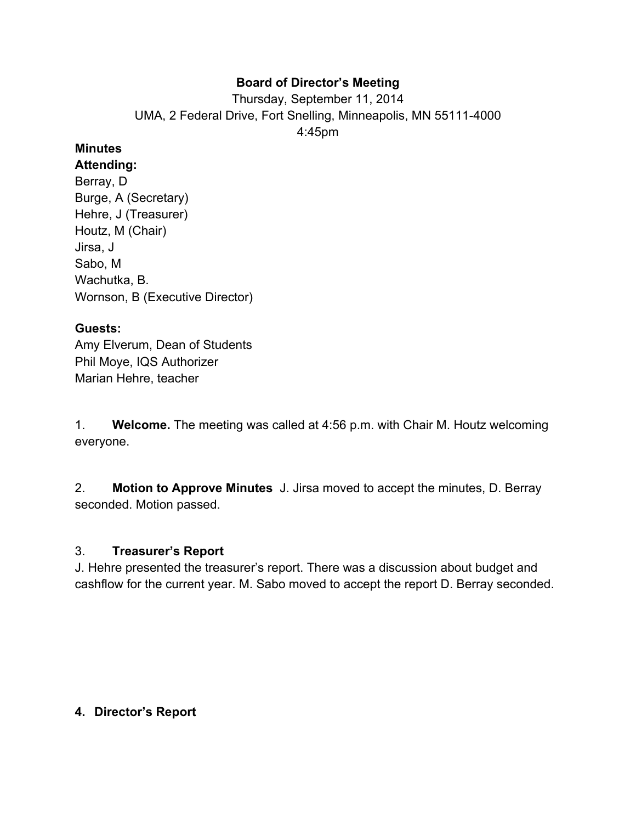## **Board of Director's Meeting**

Thursday, September 11, 2014 UMA, 2 Federal Drive, Fort Snelling, Minneapolis, MN 55111-4000 4:45pm

# **Minutes**

**Attending:** Berray, D Burge, A (Secretary)

Hehre, J (Treasurer) Houtz, M (Chair) Jirsa, J Sabo, M Wachutka, B. Wornson, B (Executive Director)

## **Guests:**

Amy Elverum, Dean of Students Phil Moye, IQS Authorizer Marian Hehre, teacher

1. **Welcome.** The meeting was called at 4:56 p.m. with Chair M. Houtz welcoming everyone.

2. **Motion to Approve Minutes** J. Jirsa moved to accept the minutes, D. Berray seconded. Motion passed.

## 3. **Treasurer's Report**

J. Hehre presented the treasurer's report. There was a discussion about budget and cashflow for the current year. M. Sabo moved to accept the report D. Berray seconded.

## **4. Director's Report**